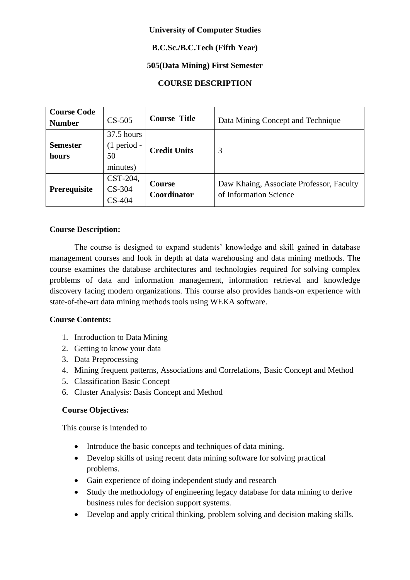### **University of Computer Studies**

## **B.C.Sc./B.C.Tech (Fifth Year)**

## **505(Data Mining) First Semester**

# **COURSE DESCRIPTION**

| <b>Course Code</b><br><b>Number</b> | $CS-505$                                        | <b>Course Title</b>          | Data Mining Concept and Technique                                  |  |  |
|-------------------------------------|-------------------------------------------------|------------------------------|--------------------------------------------------------------------|--|--|
| <b>Semester</b><br>hours            | $37.5$ hours<br>$(1$ period -<br>50<br>minutes) | <b>Credit Units</b>          | 3                                                                  |  |  |
| Prerequisite                        | CST-204,<br>$CS-304$<br>$CS-404$                | <b>Course</b><br>Coordinator | Daw Khaing, Associate Professor, Faculty<br>of Information Science |  |  |

### **Course Description:**

The course is designed to expand students' knowledge and skill gained in database management courses and look in depth at data warehousing and data mining methods. The course examines the database architectures and technologies required for solving complex problems of data and information management, information retrieval and knowledge discovery facing modern organizations. This course also provides hands-on experience with state-of-the-art data mining methods tools using WEKA software.

### **Course Contents:**

- 1. Introduction to Data Mining
- 2. Getting to know your data
- 3. Data Preprocessing
- 4. Mining frequent patterns, Associations and Correlations, Basic Concept and Method
- 5. Classification Basic Concept
- 6. Cluster Analysis: Basis Concept and Method

### **Course Objectives:**

This course is intended to

- Introduce the basic concepts and techniques of data mining.
- Develop skills of using recent data mining software for solving practical problems.
- Gain experience of doing independent study and research
- Study the methodology of engineering legacy database for data mining to derive business rules for decision support systems.
- Develop and apply critical thinking, problem solving and decision making skills.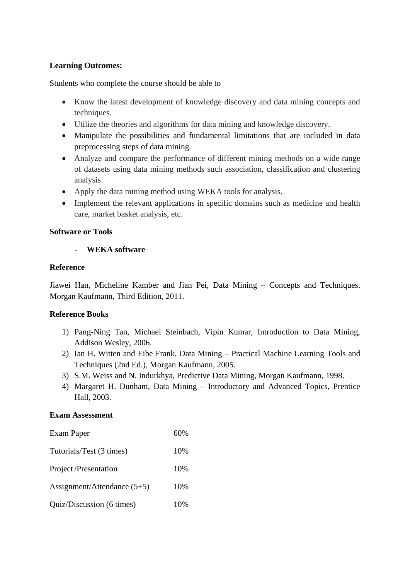### **Learning Outcomes:**

Students who complete the course should be able to

- Know the latest development of knowledge discovery and data mining concepts and techniques.
- Utilize the theories and algorithms for data mining and knowledge discovery.
- Manipulate the possibilities and fundamental limitations that are included in data preprocessing steps of data mining.
- Analyze and compare the performance of different mining methods on a wide range of datasets using data mining methods such association, classification and clustering analysis.
- Apply the data mining method using WEKA tools for analysis.
- Implement the relevant applications in specific domains such as medicine and health care, market basket analysis, etc.

### **Software or Tools**

### - **WEKA software**

### **Reference**

Jiawei Han, Micheline Kamber and Jian Pei, Data Mining – Concepts and Techniques. Morgan Kaufmann, Third Edition, 2011.

### **Reference Books**

- 1) Pang-Ning Tan, Michael Steinbach, Vipin Kumar, Introduction to Data Mining, Addison Wesley, 2006.
- 2) Ian H. Witten and Eibe Frank, Data Mining Practical Machine Learning Tools and Techniques (2nd Ed.), Morgan Kaufmann, 2005.
- 3) S.M. Weiss and N. Indurkhya, Predictive Data Mining, Morgan Kaufmann, 1998.
- 4) Margaret H. Dunham, Data Mining Introductory and Advanced Topics, Prentice Hall, 2003.

#### **Exam Assessment**

| Exam Paper                  | 60% |
|-----------------------------|-----|
| Tutorials/Test (3 times)    | 10% |
| <b>Project/Presentation</b> | 10% |
| Assignment/Attendance (5+5) | 10% |
| Quiz/Discussion (6 times)   | 10% |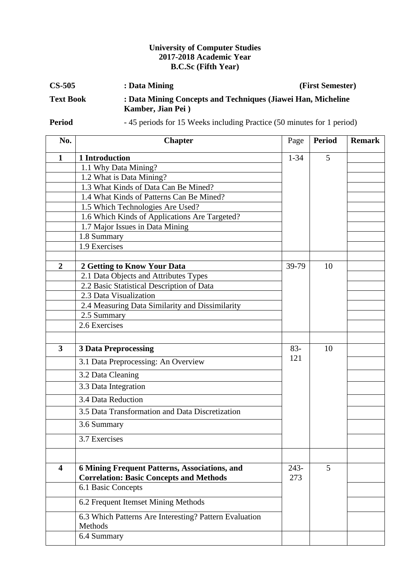## **University of Computer Studies 2017-2018 Academic Year B.C.Sc (Fifth Year)**

| $CS-505$         | : Data Mining                                                                     | (First Semester) |
|------------------|-----------------------------------------------------------------------------------|------------------|
| <b>Text Book</b> | : Data Mining Concepts and Techniques (Jiawei Han, Micheline<br>Kamber, Jian Pei) |                  |

**Period** - 45 periods for 15 Weeks including Practice (50 minutes for 1 period)

| No.                     | <b>Chapter</b>                                         | Page     | <b>Period</b> | <b>Remark</b> |
|-------------------------|--------------------------------------------------------|----------|---------------|---------------|
| 1                       | 1 Introduction                                         | $1 - 34$ | 5             |               |
|                         | 1.1 Why Data Mining?                                   |          |               |               |
|                         | 1.2 What is Data Mining?                               |          |               |               |
|                         | 1.3 What Kinds of Data Can Be Mined?                   |          |               |               |
|                         | 1.4 What Kinds of Patterns Can Be Mined?               |          |               |               |
|                         | 1.5 Which Technologies Are Used?                       |          |               |               |
|                         | 1.6 Which Kinds of Applications Are Targeted?          |          |               |               |
|                         | 1.7 Major Issues in Data Mining                        |          |               |               |
|                         | 1.8 Summary                                            |          |               |               |
|                         | 1.9 Exercises                                          |          |               |               |
|                         |                                                        |          |               |               |
| $\overline{2}$          | 2 Getting to Know Your Data                            | 39-79    | 10            |               |
|                         | 2.1 Data Objects and Attributes Types                  |          |               |               |
|                         | 2.2 Basic Statistical Description of Data              |          |               |               |
|                         | 2.3 Data Visualization                                 |          |               |               |
|                         | 2.4 Measuring Data Similarity and Dissimilarity        |          |               |               |
|                         | 2.5 Summary                                            |          |               |               |
|                         | 2.6 Exercises                                          |          |               |               |
|                         |                                                        |          |               |               |
| $\overline{\mathbf{3}}$ | <b>3 Data Preprocessing</b>                            | $83 -$   | 10            |               |
|                         | 3.1 Data Preprocessing: An Overview                    | 121      |               |               |
|                         | 3.2 Data Cleaning                                      |          |               |               |
|                         | 3.3 Data Integration                                   |          |               |               |
|                         | 3.4 Data Reduction                                     |          |               |               |
|                         | 3.5 Data Transformation and Data Discretization        |          |               |               |
|                         | 3.6 Summary                                            |          |               |               |
|                         | 3.7 Exercises                                          |          |               |               |
|                         |                                                        |          |               |               |
| $\overline{\mathbf{4}}$ | <b>6 Mining Frequent Patterns, Associations, and</b>   | $243-$   | 5             |               |
|                         | <b>Correlation: Basic Concepts and Methods</b>         | 273      |               |               |
|                         | 6.1 Basic Concepts                                     |          |               |               |
|                         | 6.2 Frequent Itemset Mining Methods                    |          |               |               |
|                         | 6.3 Which Patterns Are Interesting? Pattern Evaluation |          |               |               |
|                         | Methods                                                |          |               |               |
|                         | 6.4 Summary                                            |          |               |               |
|                         |                                                        |          |               |               |